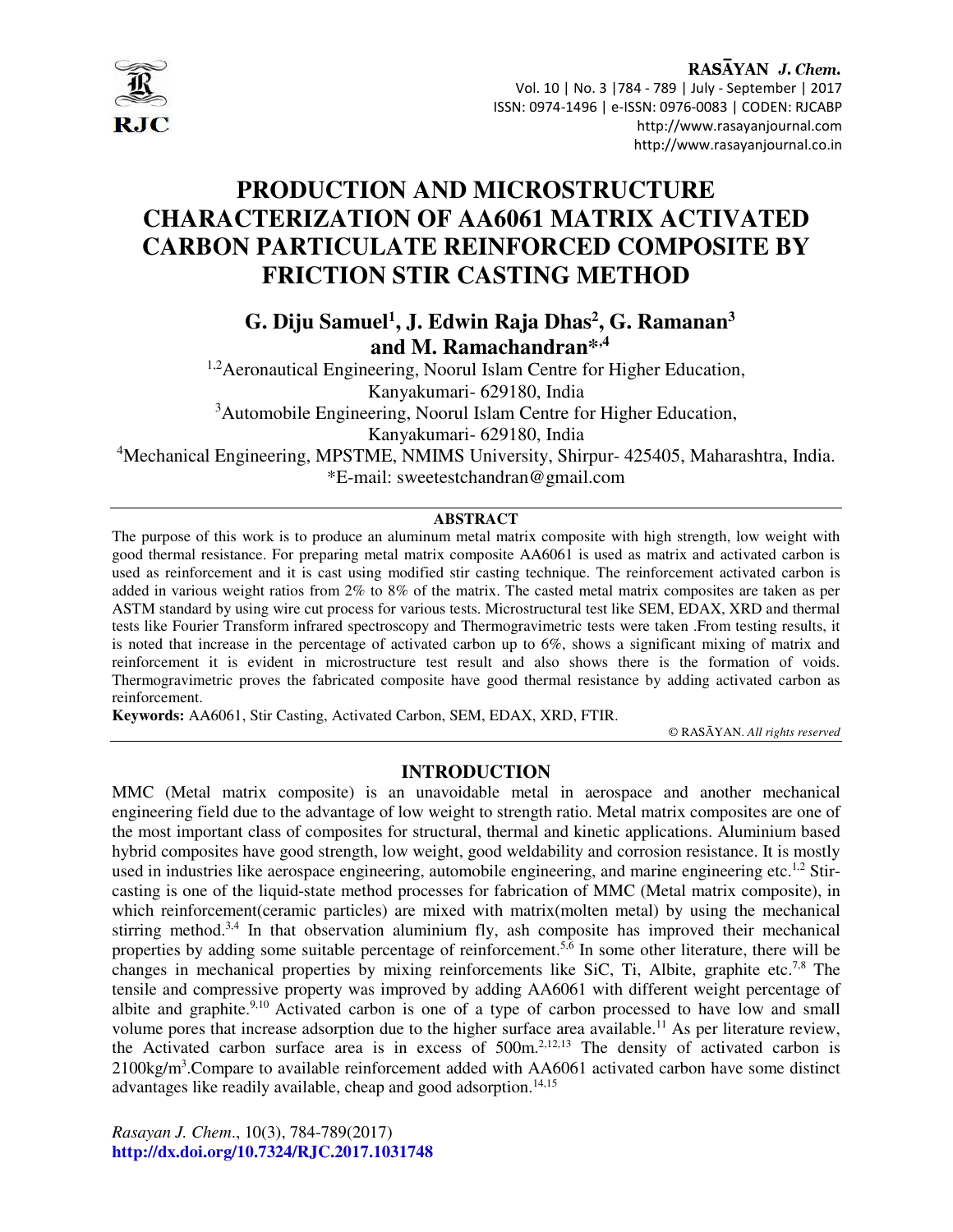

# **PRODUCTION AND MICROSTRUCTURE CHARACTERIZATION OF AA6061 MATRIX ACTIVATED CARBON PARTICULATE REINFORCED COMPOSITE BY FRICTION STIR CASTING METHOD**

**G. Diju Samuel<sup>1</sup> , J. Edwin Raja Dhas<sup>2</sup> , G. Ramanan<sup>3</sup> and M. Ramachandran\*,4**

<sup>1,2</sup> Aeronautical Engineering, Noorul Islam Centre for Higher Education, Kanyakumari- 629180, India

<sup>3</sup>Automobile Engineering, Noorul Islam Centre for Higher Education,

Kanyakumari- 629180, India

<sup>4</sup>Mechanical Engineering, MPSTME, NMIMS University, Shirpur- 425405, Maharashtra, India. \*E-mail: sweetestchandran@gmail.com

## **ABSTRACT**

The purpose of this work is to produce an aluminum metal matrix composite with high strength, low weight with good thermal resistance. For preparing metal matrix composite AA6061 is used as matrix and activated carbon is used as reinforcement and it is cast using modified stir casting technique. The reinforcement activated carbon is added in various weight ratios from 2% to 8% of the matrix. The casted metal matrix composites are taken as per ASTM standard by using wire cut process for various tests. Microstructural test like SEM, EDAX, XRD and thermal tests like Fourier Transform infrared spectroscopy and Thermogravimetric tests were taken .From testing results, it is noted that increase in the percentage of activated carbon up to 6%, shows a significant mixing of matrix and reinforcement it is evident in microstructure test result and also shows there is the formation of voids. Thermogravimetric proves the fabricated composite have good thermal resistance by adding activated carbon as reinforcement.

**Keywords:** AA6061, Stir Casting, Activated Carbon, SEM, EDAX, XRD, FTIR.

© RASĀYAN. *All rights reserved*

#### **INTRODUCTION**

MMC (Metal matrix composite) is an unavoidable metal in aerospace and another mechanical engineering field due to the advantage of low weight to strength ratio. Metal matrix composites are one of the most important class of composites for structural, thermal and kinetic applications. Aluminium based hybrid composites have good strength, low weight, good weldability and corrosion resistance. It is mostly used in industries like aerospace engineering, automobile engineering, and marine engineering etc.<sup>1,2</sup> Stircasting is one of the liquid-state method processes for fabrication of MMC (Metal matrix composite), in which reinforcement (ceramic particles) are mixed with matrix (molten metal) by using the mechanical stirring method.<sup>3,4</sup> In that observation aluminium fly, ash composite has improved their mechanical properties by adding some suitable percentage of reinforcement.<sup>5,6</sup> In some other literature, there will be changes in mechanical properties by mixing reinforcements like SiC, Ti, Albite, graphite etc.<sup>7,8</sup> The tensile and compressive property was improved by adding AA6061 with different weight percentage of albite and graphite.<sup>9,10</sup> Activated carbon is one of a type of carbon processed to have low and small volume pores that increase adsorption due to the higher surface area available.<sup>11</sup> As per literature review, the Activated carbon surface area is in excess of 500m.2,12,13 The density of activated carbon is 2100kg/m<sup>3</sup>. Compare to available reinforcement added with AA6061 activated carbon have some distinct advantages like readily available, cheap and good adsorption.<sup>14,15</sup>

*Rasayan J. Chem*., 10(3), 784-789(2017) **http://dx.doi.org/10.7324/RJC.2017.1031748**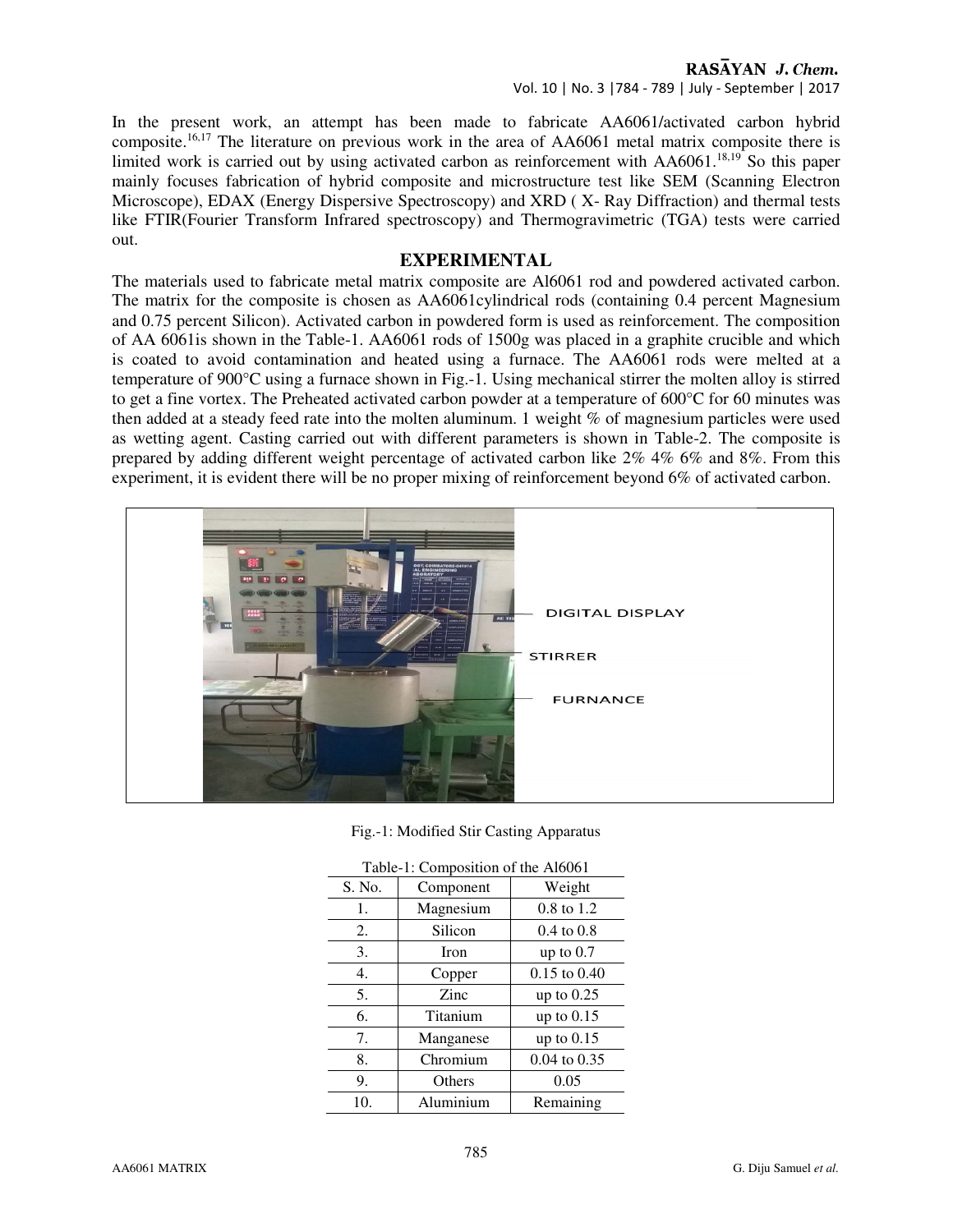# RASAYAN J. Chem.

Vol. 10 | No. 3 |784 - 789 | July - September | 2017

In the present work, an attempt has been made to fabricate AA6061/activated carbon hybrid composite.16,17 The literature on previous work in the area of AA6061 metal matrix composite there is limited work is carried out by using activated carbon as reinforcement with AA6061.18,19 So this paper mainly focuses fabrication of hybrid composite and microstructure test like SEM (Scanning Electron Microscope), EDAX (Energy Dispersive Spectroscopy) and XRD ( X- Ray Diffraction) and thermal tests like FTIR(Fourier Transform Infrared spectroscopy) and Thermogravimetric (TGA) tests were carried out.

## **EXPERIMENTAL**

The materials used to fabricate metal matrix composite are Al6061 rod and powdered activated carbon. The matrix for the composite is chosen as AA6061cylindrical rods (containing 0.4 percent Magnesium and 0.75 percent Silicon). Activated carbon in powdered form is used as reinforcement. The composition of AA 6061is shown in the Table-1. AA6061 rods of 1500g was placed in a graphite crucible and which is coated to avoid contamination and heated using a furnace. The AA6061 rods were melted at a temperature of 900°C using a furnace shown in Fig.-1. Using mechanical stirrer the molten alloy is stirred to get a fine vortex. The Preheated activated carbon powder at a temperature of 600°C for 60 minutes was then added at a steady feed rate into the molten aluminum. 1 weight % of magnesium particles were used as wetting agent. Casting carried out with different parameters is shown in Table-2. The composite is prepared by adding different weight percentage of activated carbon like 2% 4% 6% and 8%. From this experiment, it is evident there will be no proper mixing of reinforcement beyond 6% of activated carbon.



Fig.-1: Modified Stir Casting Apparatus

| Table-1: Composition of the Al6061 |             |                       |  |  |
|------------------------------------|-------------|-----------------------|--|--|
| S. No.                             | Component   | Weight                |  |  |
| 1.                                 | Magnesium   | $0.8$ to $1.2$        |  |  |
| 2.                                 | Silicon     | $0.4 \text{ to } 0.8$ |  |  |
| 3.                                 | <b>Iron</b> | up to $0.7$           |  |  |
| 4.                                 | Copper      | $0.15$ to $0.40$      |  |  |
| 5.                                 | Zinc        | up to $0.25$          |  |  |
| 6.                                 | Titanium    | up to $0.15$          |  |  |
| 7.                                 | Manganese   | up to $0.15$          |  |  |
| 8.                                 | Chromium    | $0.04$ to $0.35$      |  |  |
| 9.                                 | Others      | 0.05                  |  |  |
| 10.                                | Aluminium   | Remaining             |  |  |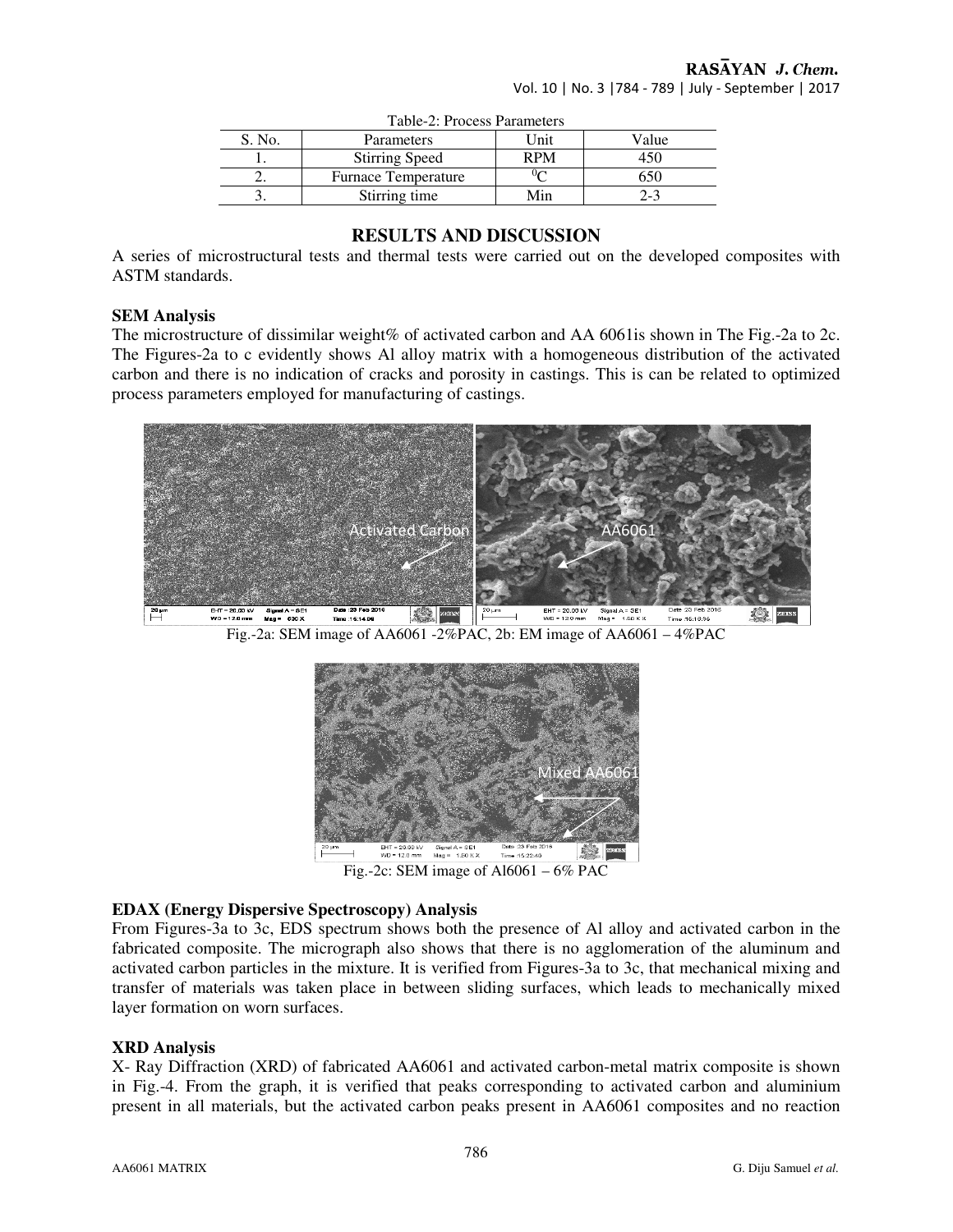| Table-2: Process Parameters |                            |            |             |  |
|-----------------------------|----------------------------|------------|-------------|--|
| S. No.                      | Parameters                 | Unit       | Value       |  |
|                             | <b>Stirring Speed</b>      | <b>RPM</b> |             |  |
|                             | <b>Furnace Temperature</b> |            | $\sigma$ 50 |  |
|                             | Stirring time              | Min        | $2 - 3$     |  |

## **RESULTS AND DISCUSSION**

A series of microstructural tests and thermal tests were carried out on the developed composites with ASTM standards.

#### **SEM Analysis**

The microstructure of dissimilar weight% of activated carbon and AA 6061 is shown in The Fig.-2a to 2c. The Figures-2a to c evidently shows Al alloy matrix with a homogeneous distribution of the activated carbon and there is no indication of cracks and porosity in castings. This is can be related to optimized process parameters employed for manufacturing of castings.



Fig.-2a: SEM image of AA6061 -2%PAC, 2b: EM image of AA6061 – 4%PAC



Fig.-2c: SEM image of  $A16061 - 6\%$  PAC

#### **EDAX (Energy Dispersive Spectroscopy) Analysis**

From Figures-3a to 3c, EDS spectrum shows both the presence of Al alloy and activated carbon in the fabricated composite. The micrograph also shows that there is no agglomeration of the aluminum and activated carbon particles in the mixture. It is verified from Figures-3a to 3c, that mechanical mixing and transfer of materials was taken place in between sliding surfaces, which leads to mechanically mixed layer formation on worn surfaces.

#### **XRD Analysis**

X- Ray Diffraction (XRD) of fabricated AA6061 and activated carbon-metal matrix composite is shown in Fig.-4. From the graph, it is verified that peaks corresponding to activated carbon and aluminium present in all materials, but the activated carbon peaks present in AA6061 composites and no reaction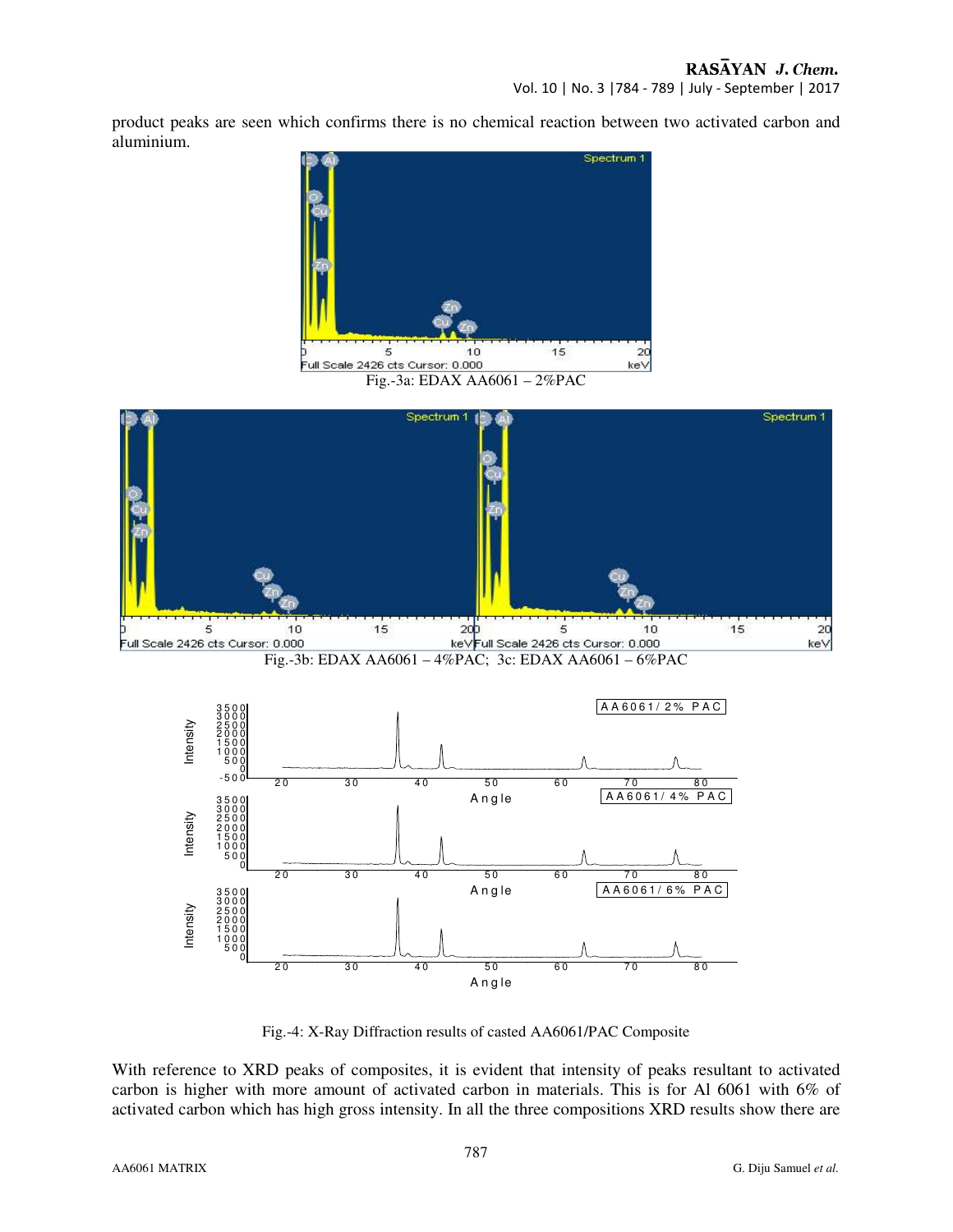Vol. 10 | No. 3 |784 - 789 | July - September | 2017

product peaks are seen which confirms there is no chemical reaction between two activated carbon and aluminium.



Fig.-3a: EDAX AA6061 – 2%PAC



Fig.-4: X-Ray Diffraction results of casted AA6061/PAC Composite

With reference to XRD peaks of composites, it is evident that intensity of peaks resultant to activated carbon is higher with more amount of activated carbon in materials. This is for Al 6061 with 6% of activated carbon which has high gross intensity. In all the three compositions XRD results show there are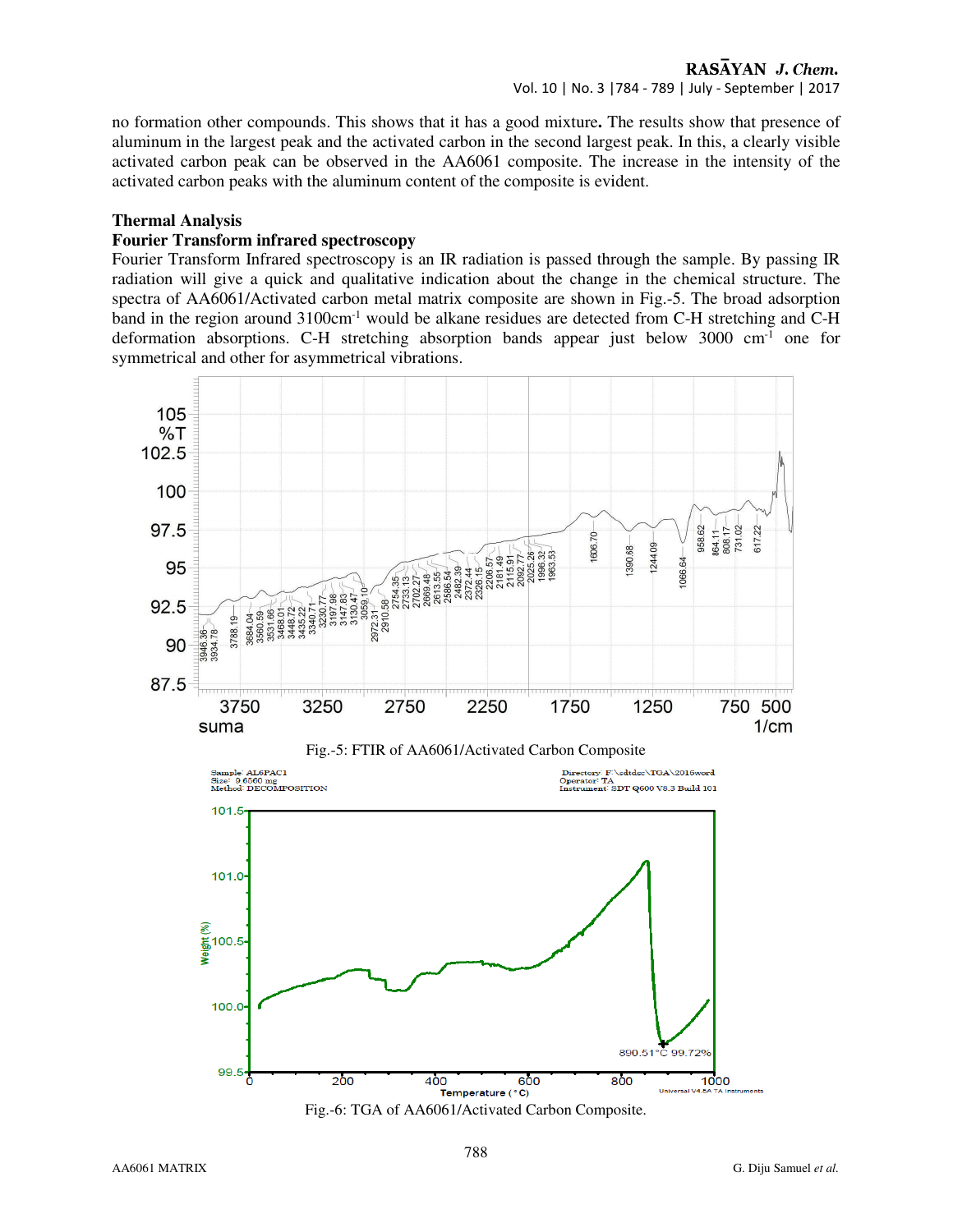RASAYAN J. Chem. Vol. 10 | No. 3 |784 - 789 | July - September | 2017

no formation other compounds. This shows that it has a good mixture**.** The results show that presence of aluminum in the largest peak and the activated carbon in the second largest peak. In this, a clearly visible activated carbon peak can be observed in the AA6061 composite. The increase in the intensity of the activated carbon peaks with the aluminum content of the composite is evident.

#### **Thermal Analysis**

## **Fourier Transform infrared spectroscopy**

Fourier Transform Infrared spectroscopy is an IR radiation is passed through the sample. By passing IR radiation will give a quick and qualitative indication about the change in the chemical structure. The spectra of AA6061/Activated carbon metal matrix composite are shown in Fig.-5. The broad adsorption band in the region around  $3100 \text{cm}^{-1}$  would be alkane residues are detected from C-H stretching and C-H deformation absorptions. C-H stretching absorption bands appear just below  $3000 \text{ cm}^{-1}$  one for symmetrical and other for asymmetrical vibrations.